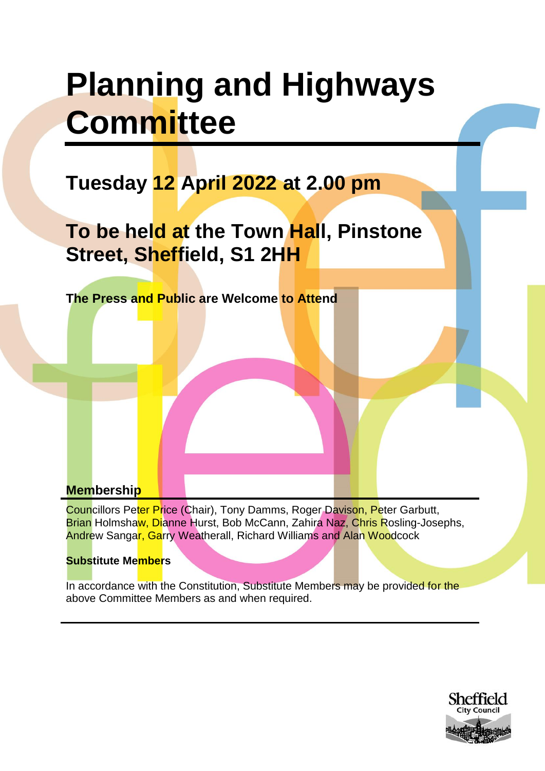# **Planning and Highways Committee**

# **Tuesday 12 April 2022 at 2.00 pm**

**To be held at the Town Hall, Pinstone Street, Sheffield, S1 2HH**

**The Press and Public are Welcome to Attend**

# **Membership**

Councillors Peter Price (Chair), Tony Damms, Roger Davison, Peter Garbutt, Brian Holmshaw, Dianne Hurst, Bob McCann, Zahira Naz, Chris Rosling-Josephs, Andrew Sangar, Garry Weatherall, Richard Williams and Alan Woodcock

## **Substitute Members**

In accordance with the Constitution, Substitute Members may be provided for the above Committee Members as and when required.

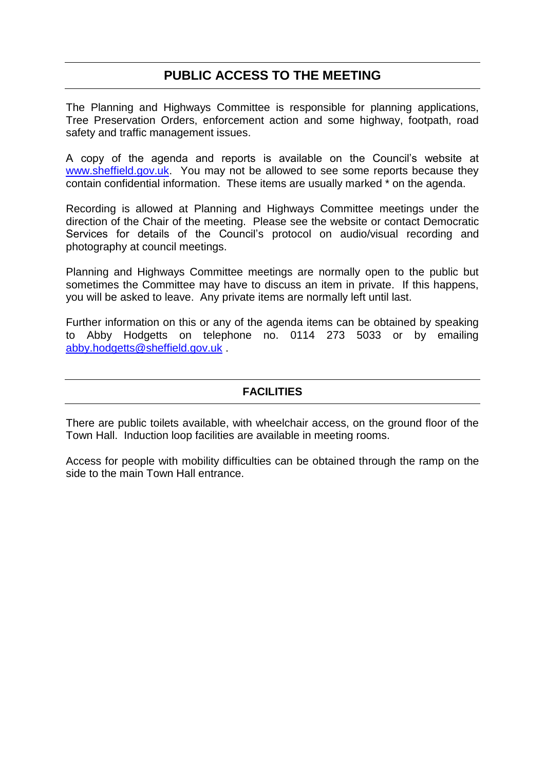# **PUBLIC ACCESS TO THE MEETING**

The Planning and Highways Committee is responsible for planning applications, Tree Preservation Orders, enforcement action and some highway, footpath, road safety and traffic management issues.

A copy of the agenda and reports is available on the Council's website at [www.sheffield.gov.uk.](http://www.sheffield.gov.uk/) You may not be allowed to see some reports because they contain confidential information. These items are usually marked \* on the agenda.

Recording is allowed at Planning and Highways Committee meetings under the direction of the Chair of the meeting. Please see the website or contact Democratic Services for details of the Council's protocol on audio/visual recording and photography at council meetings.

Planning and Highways Committee meetings are normally open to the public but sometimes the Committee may have to discuss an item in private. If this happens, you will be asked to leave. Any private items are normally left until last.

Further information on this or any of the agenda items can be obtained by speaking to Abby Hodgetts on telephone no. 0114 273 5033 or by emailing [abby.hodgetts@sheffield.gov.uk](mailto:abby.hodgetts@sheffield.gov.uk) .

#### **FACILITIES**

There are public toilets available, with wheelchair access, on the ground floor of the Town Hall. Induction loop facilities are available in meeting rooms.

Access for people with mobility difficulties can be obtained through the ramp on the side to the main Town Hall entrance.